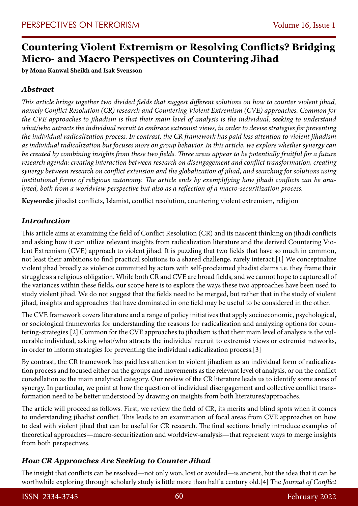# **Countering Violent Extremism or Resolving Conflicts? Bridging Micro- and Macro Perspectives on Countering Jihad**

**by Mona Kanwal Sheikh and Isak Svensson**

## *Abstract*

*This article brings together two divided fields that suggest different solutions on how to counter violent jihad, namely Conflict Resolution (CR) research and Countering Violent Extremism (CVE) approaches. Common for the CVE approaches to jihadism is that their main level of analysis is the individual, seeking to understand what/who attracts the individual recruit to embrace extremist views, in order to devise strategies for preventing the individual radicalization process. In contrast, the CR framework has paid less attention to violent jihadism as individual radicalization but focuses more on group behavior. In this article, we explore whether synergy can be created by combining insights from these two fields. Three areas appear to be potentially fruitful for a future research agenda: creating interaction between research on disengagement and conflict transformation, creating synergy between research on conflict extension and the globalization of jihad, and searching for solutions using institutional forms of religious autonomy. The article ends by exemplifying how jihadi conflicts can be analyzed, both from a worldview perspective but also as a reflection of a macro-securitization process.* 

**Keywords:** jihadist conflicts, Islamist, conflict resolution, countering violent extremism, religion

### *Introduction*

This article aims at examining the field of Conflict Resolution (CR) and its nascent thinking on jihadi conflicts and asking how it can utilize relevant insights from radicalization literature and the derived Countering Violent Extremism (CVE) approach to violent jihad. It is puzzling that two fields that have so much in common, not least their ambitions to find practical solutions to a shared challenge, rarely interact.[1] We conceptualize violent jihad broadly as violence committed by actors with self-proclaimed jihadist claims i.e. they frame their struggle as a religious obligation. While both CR and CVE are broad fields, and we cannot hope to capture all of the variances within these fields, our scope here is to explore the ways these two approaches have been used to study violent jihad. We do not suggest that the fields need to be merged, but rather that in the study of violent jihad, insights and approaches that have dominated in one field may be useful to be considered in the other.

The CVE framework covers literature and a range of policy initiatives that apply socioeconomic, psychological, or sociological frameworks for understanding the reasons for radicalization and analyzing options for countering-strategies.[2] Common for the CVE approaches to jihadism is that their main level of analysis is the vulnerable individual, asking what/who attracts the individual recruit to extremist views or extremist networks, in order to inform strategies for preventing the individual radicalization process.[3]

By contrast, the CR framework has paid less attention to violent jihadism as an individual form of radicalization process and focused either on the groups and movements as the relevant level of analysis, or on the conflict constellation as the main analytical category. Our review of the CR literature leads us to identify some areas of synergy. In particular, we point at how the question of individual disengagement and collective conflict transformation need to be better understood by drawing on insights from both literatures/approaches.

The article will proceed as follows. First, we review the field of CR, its merits and blind spots when it comes to understanding jihadist conflict. This leads to an examination of focal areas from CVE approaches on how to deal with violent jihad that can be useful for CR research. The final sections briefly introduce examples of theoretical approaches—macro-securitization and worldview-analysis—that represent ways to merge insights from both perspectives.

### *How CR Approaches Are Seeking to Counter Jihad*

The insight that conflicts can be resolved—not only won, lost or avoided—is ancient, but the idea that it can be worthwhile exploring through scholarly study is little more than half a century old.[4] The *Journal of Conflict*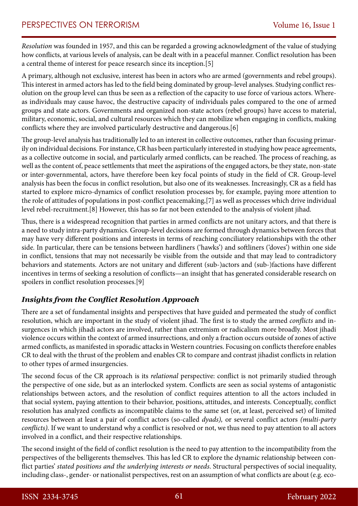*Resolution* was founded in 1957, and this can be regarded a growing acknowledgment of the value of studying how conflicts, at various levels of analysis, can be dealt with in a peaceful manner. Conflict resolution has been a central theme of interest for peace research since its inception.[5]

A primary, although not exclusive, interest has been in actors who are armed (governments and rebel groups). This interest in armed actors has led to the field being dominated by group-level analyses. Studying conflict resolution on the group level can thus be seen as a reflection of the capacity to use force of various actors. Whereas individuals may cause havoc, the destructive capacity of individuals pales compared to the one of armed groups and state actors. Governments and organized non-state actors (rebel groups) have access to material, military, economic, social, and cultural resources which they can mobilize when engaging in conflicts, making conflicts where they are involved particularly destructive and dangerous.[6]

The group-level analysis has traditionally led to an interest in collective outcomes, rather than focusing primarily on individual decisions. For instance, CR has been particularly interested in studying how peace agreements, as a collective outcome in social, and particularly armed conflicts, can be reached. The process of reaching, as well as the content of, peace settlements that meet the aspirations of the engaged actors, be they state, non-state or inter-governmental, actors, have therefore been key focal points of study in the field of CR. Group-level analysis has been the focus in conflict resolution, but also one of its weaknesses. Increasingly, CR as a field has started to explore micro-dynamics of conflict resolution processes by, for example, paying more attention to the role of attitudes of populations in post-conflict peacemaking,[7] as well as processes which drive individual level rebel-recruitment.[8] However, this has so far not been extended to the analysis of violent jihad.

Thus, there is a widespread recognition that parties in armed conflicts are not unitary actors, and that there is a need to study intra-party dynamics. Group-level decisions are formed through dynamics between forces that may have very different positions and interests in terms of reaching conciliatory relationships with the other side. In particular, there can be tensions between hardliners ('hawks') and softliners ('doves') within one side in conflict, tensions that may not necessarily be visible from the outside and that may lead to contradictory behaviors and statements. Actors are not unitary and different (sub-)actors and (sub-)factions have different incentives in terms of seeking a resolution of conflicts—an insight that has generated considerable research on spoilers in conflict resolution processes.[9]

### *Insights from the Conflict Resolution Approach*

There are a set of fundamental insights and perspectives that have guided and permeated the study of conflict resolution, which are important in the study of violent jihad. The first is to study the armed *conflicts* and insurgences in which jihadi actors are involved, rather than extremism or radicalism more broadly. Most jihadi violence occurs within the context of armed insurrections, and only a fraction occurs outside of zones of active armed conflicts, as manifested in sporadic attacks in Western countries. Focusing on conflicts therefore enables CR to deal with the thrust of the problem and enables CR to compare and contrast jihadist conflicts in relation to other types of armed insurgencies.

The second focus of the CR approach is its *relational* perspective: conflict is not primarily studied through the perspective of one side, but as an interlocked system. Conflicts are seen as social systems of antagonistic relationships between actors, and the resolution of conflict requires attention to all the actors included in that social system, paying attention to their behavior, positions, attitudes, and interests. Conceptually, conflict resolution has analyzed conflicts as incompatible claims to the same set (or, at least, perceived set) of limited resources between at least a pair of conflict actors (so-called *dyads),* or several conflict actors *(multi-party conflicts).* If we want to understand why a conflict is resolved or not, we thus need to pay attention to all actors involved in a conflict, and their respective relationships.

The second insight of the field of conflict resolution is the need to pay attention to the incompatibility from the perspectives of the belligerents themselves. This has led CR to explore the dynamic relationship between conflict parties' *stated positions and the underlying interests or needs*. Structural perspectives of social inequality, including class-, gender- or nationalist perspectives, rest on an assumption of what conflicts are about (e.g. eco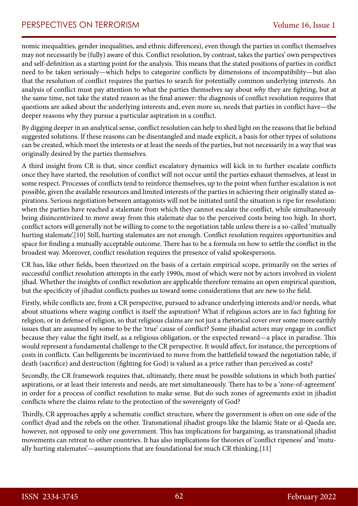nomic inequalities, gender inequalities, and ethnic differences), even though the parties in conflict themselves may not necessarily be (fully) aware of this. Conflict resolution, by contrast, takes the parties' own perspectives and self-definition as a starting point for the analysis. This means that the stated positions of parties in conflict need to be taken seriously—which helps to categorize conflicts by dimensions of incompatibility—but also that the resolution of conflict requires the parties to search for potentially common underlying interests. An analysis of conflict must pay attention to what the parties themselves say about *why* they are fighting, but at the same time, not take the stated reason as the final answer: the diagnosis of conflict resolution requires that questions are asked about the underlying interests and, even more so, needs that parties in conflict have—the deeper reasons why they pursue a particular aspiration in a conflict.

By digging deeper in an analytical sense, conflict resolution can help to shed light on the reasons that lie behind suggested solutions. If these reasons can be disentangled and made explicit, a basis for other types of solutions can be created, which meet the interests or at least the needs of the parties, but not necessarily in a way that was originally desired by the parties themselves.

A third insight from CR is that, since conflict escalatory dynamics will kick in to further escalate conflicts once they have started, the resolution of conflict will not occur until the parties exhaust themselves, at least in some respect. Processes of conflicts tend to reinforce themselves, up to the point when further escalation is not possible, given the available resources and limited interests of the parties in achieving their originally stated aspirations. Serious negotiation between antagonists will not be initiated until the situation is ripe for resolution: when the parties have reached a stalemate from which they cannot escalate the conflict, while simultaneously being disincentivized to move away from this stalemate due to the perceived costs being too high. In short, conflict actors will generally not be willing to come to the negotiation table unless there is a so-called 'mutually hurting stalemate'.[10] Still, hurting stalemates are not enough. Conflict resolution requires opportunities and space for finding a mutually acceptable outcome. There has to be a formula on how to settle the conflict in the broadest way. Moreover, conflict resolution requires the presence of valid spokespersons*.* 

CR has, like other fields, been theorized on the basis of a certain empirical scope, primarily on the series of successful conflict resolution attempts in the early 1990s, most of which were not by actors involved in violent jihad. Whether the insights of conflict resolution are applicable therefore remains an open empirical question, but the specificity of jihadist conflicts pushes us toward some considerations that are new to the field.

Firstly, while conflicts are, from a CR perspective, pursued to advance underlying interests and/or needs, what about situations where waging conflict is itself the aspiration? What if religious actors are in fact fighting for religion, or in defense of religion, so that religious claims are not just a rhetorical cover over some more earthly issues that are assumed by some to be the 'true' cause of conflict? Some jihadist actors may engage in conflict because they value the fight itself, as a religious obligation, or the expected reward—a place in paradise. This would represent a fundamental challenge to the CR perspective. It would affect, for instance, the perceptions of costs in conflicts. Can belligerents be incentivized to move from the battlefield toward the negotiation table, if death (sacrifice) and destruction (fighting for God) is valued as a price rather than perceived as costs?

Secondly, the CR framework requires that, ultimately, there must be possible solutions in which both parties' aspirations, or at least their interests and needs, are met simultaneously. There has to be a 'zone-of-agreement' in order for a process of conflict resolution to make sense. But do such zones of agreements exist in jihadist conflicts where the claims relate to the protection of the sovereignty of God?

Thirdly, CR approaches apply a schematic conflict structure, where the government is often on one side of the conflict dyad and the rebels on the other. Transnational jihadist groups like the Islamic State or al-Qaeda are, however, not opposed to only one government. This has implications for bargaining, as transnational jihadist movements can retreat to other countries. It has also implications for theories of 'conflict ripeness' and 'mutually hurting stalemates'—assumptions that are foundational for much CR thinking.[11]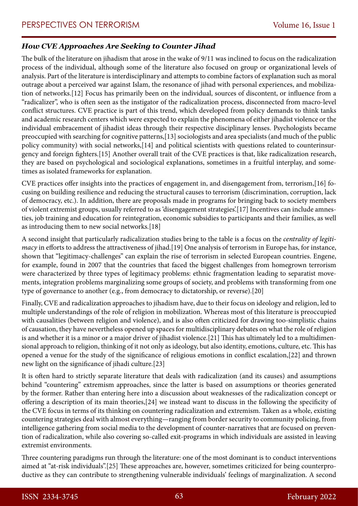#### *How CVE Approaches Are Seeking to Counter Jihad*

The bulk of the literature on jihadism that arose in the wake of 9/11 was inclined to focus on the radicalization process of the individual, although some of the literature also focused on group or organizational levels of analysis. Part of the literature is interdisciplinary and attempts to combine factors of explanation such as moral outrage about a perceived war against Islam, the resonance of jihad with personal experiences, and mobilization of networks.[12] Focus has primarily been on the individual, sources of discontent, or influence from a "radicalizer", who is often seen as the instigator of the radicalization process, disconnected from macro-level conflict structures. CVE practice is part of this trend, which developed from policy demands to think tanks and academic research centers which were expected to explain the phenomena of either jihadist violence or the individual embracement of jihadist ideas through their respective disciplinary lenses. Psychologists became preoccupied with searching for cognitive patterns,[13] sociologists and area specialists (and much of the public policy community) with social networks,[14] and political scientists with questions related to counterinsurgency and foreign fighters.[15] Another overall trait of the CVE practices is that, like radicalization research, they are based on psychological and sociological explanations, sometimes in a fruitful interplay, and sometimes as isolated frameworks for explanation.

CVE practices offer insights into the practices of engagement in, and disengagement from, terrorism,[16] focusing on building resilience and reducing the structural causes to terrorism (discrimination, corruption, lack of democracy, etc.). In addition, there are proposals made in programs for bringing back to society members of violent extremist groups, usually referred to as 'disengagement strategies'.[17] Incentives can include amnesties, job training and education for reintegration, economic subsidies to participants and their families, as well as introducing them to new social networks.[18]

A second insight that particularly radicalization studies bring to the table is a focus on the *centrality of legitimacy* in efforts to address the attractiveness of jihad.[19] One analysis of terrorism in Europe has, for instance, shown that "legitimacy-challenges" can explain the rise of terrorism in selected European countries. Engene, for example, found in 2007 that the countries that faced the biggest challenges from homegrown terrorism were characterized by three types of legitimacy problems: ethnic fragmentation leading to separatist movements, integration problems marginalizing some groups of society, and problems with transforming from one type of governance to another (e.g., from democracy to dictatorship, or reverse).[20]

Finally, CVE and radicalization approaches to jihadism have, due to their focus on ideology and religion, led to multiple understandings of the role of religion in mobilization. Whereas most of this literature is preoccupied with causalities (between religion and violence), and is also often criticized for drawing too-simplistic chains of causation, they have nevertheless opened up spaces for multidisciplinary debates on what the role of religion is and whether it is a minor or a major driver of jihadist violence.[21] This has ultimately led to a multidimensional approach to religion, thinking of it not only as ideology, but also identity, emotions, culture, etc. This has opened a venue for the study of the significance of religious emotions in conflict escalation,[22] and thrown new light on the significance of jihadi culture.[23]

It is often hard to strictly separate literature that deals with radicalization (and its causes) and assumptions behind "countering" extremism approaches, since the latter is based on assumptions or theories generated by the former. Rather than entering here into a discussion about weaknesses of the radicalization concept or offering a description of its main theories,[24] we instead want to discuss in the following the specificity of the CVE focus in terms of its thinking on countering radicalization and extremism. Taken as a whole, existing countering strategies deal with almost everything—ranging from border security to community policing, from intelligence gathering from social media to the development of counter-narratives that are focused on prevention of radicalization, while also covering so-called exit-programs in which individuals are assisted in leaving extremist environments.

Three countering paradigms run through the literature: one of the most dominant is to conduct interventions aimed at "at-risk individuals".[25] These approaches are, however, sometimes criticized for being counterproductive as they can contribute to strengthening vulnerable individuals' feelings of marginalization. A second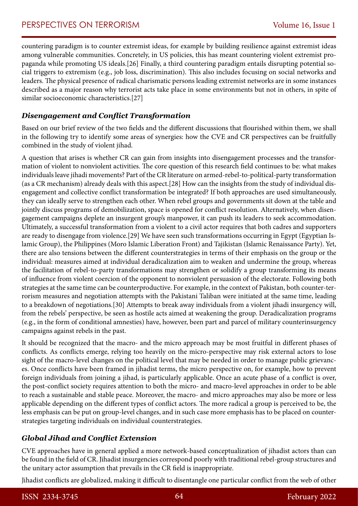countering paradigm is to counter extremist ideas, for example by building resilience against extremist ideas among vulnerable communities. Concretely, in US policies, this has meant countering violent extremist propaganda while promoting US ideals.[26] Finally, a third countering paradigm entails disrupting potential social triggers to extremism (e.g., job loss, discrimination). This also includes focusing on social networks and leaders. The physical presence of radical charismatic persons leading extremist networks are in some instances described as a major reason why terrorist acts take place in some environments but not in others, in spite of similar socioeconomic characteristics.[27]

#### *Disengagement and Conflict Transformation*

Based on our brief review of the two fields and the different discussions that flourished within them, we shall in the following try to identify some areas of synergies: how the CVE and CR perspectives can be fruitfully combined in the study of violent jihad.

A question that arises is whether CR can gain from insights into disengagement processes and the transformation of violent to nonviolent activities. The core question of this research field continues to be: what makes individuals leave jihadi movements? Part of the CR literature on armed-rebel-to-political-party transformation (as a CR mechanism) already deals with this aspect.[28] How can the insights from the study of individual disengagement and collective conflict transformation be integrated? If both approaches are used simultaneously, they can ideally serve to strengthen each other. When rebel groups and governments sit down at the table and jointly discuss programs of demobilization, space is opened for conflict resolution. Alternatively, when disengagement campaigns deplete an insurgent group's manpower, it can push its leaders to seek accommodation. Ultimately, a successful transformation from a violent to a civil actor requires that both cadres and supporters are ready to disengage from violence.[29] We have seen such transformations occurring in Egypt (Egyptian Islamic Group), the Philippines (Moro Islamic Liberation Front) and Tajikistan (Islamic Renaissance Party). Yet, there are also tensions between the different counterstrategies in terms of their emphasis on the group or the individual: measures aimed at individual deradicalization aim to weaken and undermine the group, whereas the facilitation of rebel-to-party transformations may strengthen or solidify a group transforming its means of influence from violent coercion of the opponent to nonviolent persuasion of the electorate. Following both strategies at the same time can be counterproductive. For example, in the context of Pakistan, both counter-terrorism measures and negotiation attempts with the Pakistani Taliban were initiated at the same time, leading to a breakdown of negotiations.[30] Attempts to break away individuals from a violent jihadi insurgency will, from the rebels' perspective, be seen as hostile acts aimed at weakening the group. Deradicalization programs (e.g., in the form of conditional amnesties) have, however, been part and parcel of military counterinsurgency campaigns against rebels in the past.

It should be recognized that the macro- and the micro approach may be most fruitful in different phases of conflicts. As conflicts emerge, relying too heavily on the micro-perspective may risk external actors to lose sight of the macro-level changes on the political level that may be needed in order to manage public grievances. Once conflicts have been framed in jihadist terms, the micro perspective on, for example, how to prevent foreign individuals from joining a jihad, is particularly applicable. Once an acute phase of a conflict is over, the post-conflict society requires attention to both the micro- and macro-level approaches in order to be able to reach a sustainable and stable peace. Moreover, the macro- and micro approaches may also be more or less applicable depending on the different types of conflict actors. The more radical a group is perceived to be, the less emphasis can be put on group-level changes, and in such case more emphasis has to be placed on counterstrategies targeting individuals on individual counterstrategies.

### *Global Jihad and Conflict Extension*

CVE approaches have in general applied a more network-based conceptualization of jihadist actors than can be found in the field of CR. Jihadist insurgencies correspond poorly with traditional rebel-group structures and the unitary actor assumption that prevails in the CR field is inappropriate.

Jihadist conflicts are globalized, making it difficult to disentangle one particular conflict from the web of other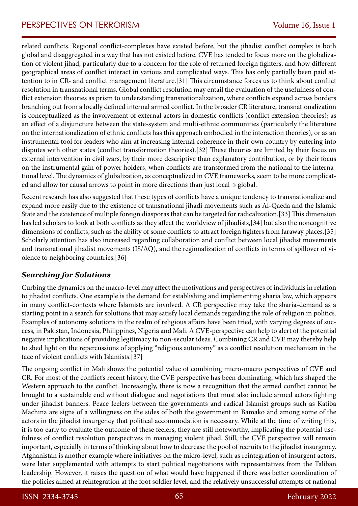related conflicts. Regional conflict-complexes have existed before, but the jihadist conflict complex is both global and disaggregated in a way that has not existed before. CVE has tended to focus more on the globalization of violent jihad, particularly due to a concern for the role of returned foreign fighters, and how different geographical areas of conflict interact in various and complicated ways. This has only partially been paid attention to in CR- and conflict management literature.[31] This circumstance forces us to think about conflict resolution in transnational terms. Global conflict resolution may entail the evaluation of the usefulness of conflict extension theories as prism to understanding transnationalization, where conflicts expand across borders branching out from a locally defined internal armed conflict. In the broader CR literature, transnationalization is conceptualized as the involvement of external actors in domestic conflicts (conflict extension theories); as an effect of a disjuncture between the state-system and multi-ethnic communities (particularly the literature on the internationalization of ethnic conflicts has this approach embodied in the interaction theories), or as an instrumental tool for leaders who aim at increasing internal coherence in their own country by entering into disputes with other states (conflict transformation theories).[32] These theories are limited by their focus on external intervention in civil wars, by their more descriptive than explanatory contribution, or by their focus on the instrumental gain of power holders, when conflicts are transformed from the national to the international level. The dynamics of globalization, as conceptualized in CVE frameworks, seem to be more complicated and allow for causal arrows to point in more directions than just local  $\rightarrow$  global.

Recent research has also suggested that these types of conflicts have a unique tendency to transnationalize and expand more easily due to the existence of transnational jihadi movements such as Al-Qaeda and the Islamic State and the existence of multiple foreign diasporas that can be targeted for radicalization.[33] This dimension has led scholars to look at both conflicts as they affect the worldview of jihadists,[34] but also the noncognitive dimensions of conflicts, such as the ability of some conflicts to attract foreign fighters from faraway places.[35] Scholarly attention has also increased regarding collaboration and conflict between local jihadist movements and transnational jihadist movements (IS/AQ), and the regionalization of conflicts in terms of spillover of violence to neighboring countries.[36]

# *Searching for Solutions*

Curbing the dynamics on the macro-level may affect the motivations and perspectives of individuals in relation to jihadist conflicts. One example is the demand for establishing and implementing sharia law, which appears in many conflict-contexts where Islamists are involved. A CR perspective may take the sharia-demand as a starting point in a search for solutions that may satisfy local demands regarding the role of religion in politics. Examples of autonomy solutions in the realm of religious affairs have been tried, with varying degrees of success, in Pakistan, Indonesia, Philippines, Nigeria and Mali. A CVE-perspective can help to alert of the potential negative implications of providing legitimacy to non-secular ideas. Combining CR and CVE may thereby help to shed light on the repercussions of applying "religious autonomy" as a conflict resolution mechanism in the face of violent conflicts with Islamists.[37]

The ongoing conflict in Mali shows the potential value of combining micro-macro perspectives of CVE and CR. For most of the conflict's recent history, the CVE perspective has been dominating, which has shaped the Western approach to the conflict. Increasingly, there is now a recognition that the armed conflict cannot be brought to a sustainable end without dialogue and negotiations that must also include armed actors fighting under jihadist banners. Peace feelers between the governments and radical Islamist groups such as Katiba Machina are signs of a willingness on the sides of both the government in Bamako and among some of the actors in the jihadist insurgency that political accommodation is necessary. While at the time of writing this, it is too early to evaluate the outcome of these feelers, they are still noteworthy, implicating the potential usefulness of conflict resolution perspectives in managing violent jihad. Still, the CVE perspective will remain important, especially in terms of thinking about how to decrease the pool of recruits to the jihadist insurgency. Afghanistan is another example where initiatives on the micro-level, such as reintegration of insurgent actors, were later supplemented with attempts to start political negotiations with representatives from the Taliban leadership. However, it raises the question of what would have happened if there was better coordination of the policies aimed at reintegration at the foot soldier level, and the relatively unsuccessful attempts of national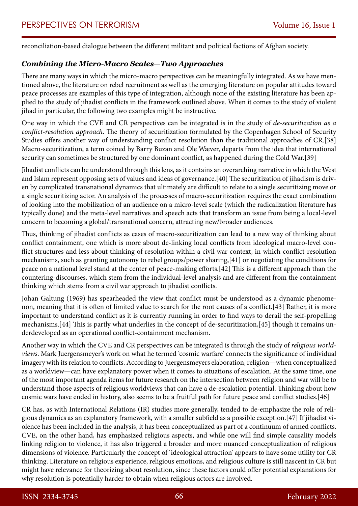reconciliation-based dialogue between the different militant and political factions of Afghan society.

### *Combining the Micro-Macro Scales—Two Approaches*

There are many ways in which the micro-macro perspectives can be meaningfully integrated. As we have mentioned above, the literature on rebel recruitment as well as the emerging literature on popular attitudes toward peace processes are examples of this type of integration, although none of the existing literature has been applied to the study of jihadist conflicts in the framework outlined above. When it comes to the study of violent jihad in particular, the following two examples might be instructive.

One way in which the CVE and CR perspectives can be integrated is in the study of *de-securitization as a conflict-resolution approach*. The theory of securitization formulated by the Copenhagen School of Security Studies offers another way of understanding conflict resolution than the traditional approaches of CR.[38] Macro-securitization, a term coined by Barry Buzan and Ole Wæver, departs from the idea that international security can sometimes be structured by one dominant conflict, as happened during the Cold War.[39]

Jihadist conflicts can be understood through this lens, as it contains an overarching narrative in which the West and Islam represent opposing sets of values and ideas of governance.[40] The securitization of jihadism is driven by complicated transnational dynamics that ultimately are difficult to relate to a single securitizing move or a single securitizing actor. An analysis of the processes of macro-securitization requires the exact combination of looking into the mobilization of an audience on a micro-level scale (which the radicalization literature has typically done) and the meta-level narratives and speech acts that transform an issue from being a local-level concern to becoming a global/transnational concern, attracting new/broader audiences.

Thus, thinking of jihadist conflicts as cases of macro-securitization can lead to a new way of thinking about conflict containment, one which is more about de-linking local conflicts from ideological macro-level conflict structures and less about thinking of resolution within a civil war context, in which conflict-resolution mechanisms, such as granting autonomy to rebel groups/power sharing,[41] or negotiating the conditions for peace on a national level stand at the center of peace-making efforts.[42] This is a different approach than the countering-discourses, which stem from the individual-level analysis and are different from the containment thinking which stems from a civil war approach to jihadist conflicts.

Johan Galtung (1969) has spearheaded the view that conflict must be understood as a dynamic phenomenon, meaning that it is often of limited value to search for the root causes of a conflict.[43] Rather, it is more important to understand conflict as it is currently running in order to find ways to derail the self-propelling mechanisms.[44] This is partly what underlies in the concept of de-securitization,[45] though it remains underdeveloped as an operational conflict-containment mechanism.

Another way in which the CVE and CR perspectives can be integrated is through the study of *religious worldviews*. Mark Juergensmeyer's work on what he termed 'cosmic warfare' connects the significance of individual imagery with its relation to conflicts. According to Juergensmeyers elaboration, religion—when conceptualized as a worldview—can have explanatory power when it comes to situations of escalation. At the same time, one of the most important agenda items for future research on the intersection between religion and war will be to understand those aspects of religious worldviews that can have a de-escalation potential. Thinking about how cosmic wars have ended in history, also seems to be a fruitful path for future peace and conflict studies.[46]

CR has, as with International Relations (IR) studies more generally, tended to de-emphasize the role of religious dynamics as an explanatory framework, with a smaller subfield as a possible exception.[47] If jihadist violence has been included in the analysis, it has been conceptualized as part of a continuum of armed conflicts. CVE, on the other hand, has emphasized religious aspects, and while one will find simple causality models linking religion to violence, it has also triggered a broader and more nuanced conceptualization of religious dimensions of violence. Particularly the concept of 'ideological attraction' appears to have some utility for CR thinking. Literature on religious experience, religious emotions, and religious culture is still nascent in CR but might have relevance for theorizing about resolution, since these factors could offer potential explanations for why resolution is potentially harder to obtain when religious actors are involved.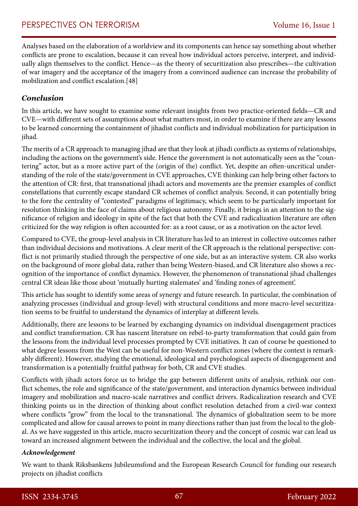Analyses based on the elaboration of a worldview and its components can hence say something about whether conflicts are prone to escalation, because it can reveal how individual actors perceive, interpret, and individually align themselves to the conflict. Hence—as the theory of securitization also prescribes—the cultivation of war imagery and the acceptance of the imagery from a convinced audience can increase the probability of mobilization and conflict escalation.[48]

#### *Conclusion*

In this article, we have sought to examine some relevant insights from two practice-oriented fields—CR and CVE—with different sets of assumptions about what matters most, in order to examine if there are any lessons to be learned concerning the containment of jihadist conflicts and individual mobilization for participation in jihad.

The merits of a CR approach to managing jihad are that they look at jihadi conflicts as systems of relationships, including the actions on the government's side. Hence the government is not automatically seen as the "countering" actor, but as a more active part of the (origin of the) conflict. Yet, despite an often-uncritical understanding of the role of the state/government in CVE approaches, CVE thinking can help bring other factors to the attention of CR: first, that transnational jihadi actors and movements are the premier examples of conflict constellations that currently escape standard CR schemes of conflict analysis. Second, it can potentially bring to the fore the centrality of "contested" paradigms of legitimacy, which seem to be particularly important for resolution thinking in the face of claims about religious autonomy. Finally, it brings in an attention to the significance of religion and ideology in spite of the fact that both the CVE and radicalization literature are often criticized for the way religion is often accounted for: as a root cause, or as a motivation on the actor level.

Compared to CVE, the group-level analysis in CR literature has led to an interest in collective outcomes rather than individual decisions and motivations. A clear merit of the CR approach is the relational perspective: conflict is not primarily studied through the perspective of one side, but as an interactive system. CR also works on the background of more global data, rather than being Western-biased, and CR literature also shows a recognition of the importance of conflict dynamics. However, the phenomenon of transnational jihad challenges central CR ideas like those about 'mutually hurting stalemates' and 'finding zones of agreement'.

This article has sought to identify some areas of synergy and future research. In particular, the combination of analyzing processes (individual and group-level) with structural conditions and more macro-level securitization seems to be fruitful to understand the dynamics of interplay at different levels.

Additionally, there are lessons to be learned by exchanging dynamics on individual disengagement practices and conflict transformation. CR has nascent literature on rebel-to-party transformation that could gain from the lessons from the individual level processes prompted by CVE initiatives. It can of course be questioned to what degree lessons from the West can be useful for non-Western conflict zones (where the context is remarkably different). However, studying the emotional, ideological and psychological aspects of disengagement and transformation is a potentially fruitful pathway for both, CR and CVE studies.

Conflicts with jihadi actors force us to bridge the gap between different units of analysis, rethink our conflict schemes, the role and significance of the state/government, and interaction dynamics between individual imagery and mobilization and macro-scale narratives and conflict drivers. Radicalization research and CVE thinking points us in the direction of thinking about conflict resolution detached from a civil-war context where conflicts "grow" from the local to the transnational. The dynamics of globalization seem to be more complicated and allow for causal arrows to point in many directions rather than just from the local to the global. As we have suggested in this article, macro securitization theory and the concept of cosmic war can lead us toward an increased alignment between the individual and the collective, the local and the global.

#### *Acknowledgement*

We want to thank Riksbankens Jubileumsfond and the European Research Council for funding our research projects on jihadist conflicts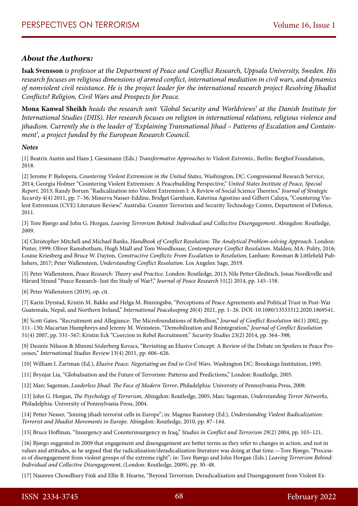#### *About the Authors:*

**Isak Svensson** *is professor at the Department of Peace and Conflict Research, Uppsala University, Sweden. His research focuses on religious dimensions of armed conflict, international mediation in civil wars, and dynamics of nonviolent civil resistance. He is the project leader for the international research project Resolving Jihadist Conflicts? Religion, Civil Wars and Prospects for Peace.*

**Mona Kanwal Sheikh** *heads the research unit 'Global Security and Worldviews' at the Danish Institute for International Studies (DIIS). Her research focuses on religion in international relations, religious violence and jihadism. Currently she is the leader of 'Explaining Transnational Jihad – Patterns of Escalation and Containment', a project funded by the European Research Council.*

#### *Notes*

[1] Beatrix Austin and Hans J. Giessmann (Eds.) *Transformative Approaches to Violent Extremis.,* Berlin: Berghof Foundation, 2018.

[2] Jerome P. Bjelopera, *Countering Violent Extremism in the United States,* Washington, DC: Congressional Research Service, 2014; Georgia Holmer "Countering Violent Extremism: A Peacebuilding Perspective," *United States Institute of Peace, Special Report*, 2013; Randy Borum "Radicalization into Violent Extremism I: A Review of Social Science Theories," *Journal of Strategic Security* 4(4) 2011, pp. 7–36; Minerva Nasser-Eddine, Bridget Garnham, Katerina Agostino and Gilbert Caluya, "Countering Violent Extremism (CVE) Literature Review," Australia: Counter Terrorism and Security Technology Centre, Department of Defence, 2011.

[3] Tore Bjørgo and John G. Horgan, *Leaving Terrorism Behind: Individual and Collective Disengagement*. Abingdon: Routledge, 2009.

[4] Christopher Mitchell and Michael Banks, *Handbook of Conflict Resolution: The Analytical Problem-solving Approach.* London: Pinter, 1999; Oliver Ramsbotham, Hugh Miall and Tom Woodhouse, *Contemporary Conflict Resolution*. Malden, MA: Polity, 2016; Louise Kriesberg and Bruce W. Dayton*, Constructive Conflicts: From Escalation to Resolution*, Lanham: Rowman & Littlefield Publishers, 2017; Peter Wallensteen, *Understanding Conflict Resolution*. Los Angeles: Sage, 2019.

[5] Peter Wallensteen, *Peace Research: Theory and Practice.* London: Routledge, 2013; Nils Petter Gleditsch, Jonas Nordkvelle and Håvard Strand "Peace Research–Just the Study of War?," *Journal of Peace Research* 51(2) 2014, pp. 145–158.

[6] Peter Wallensteen (2019), op. cit.

[7] Karin Dyrstad, Kristin M. Bakke and Helga M. Binningsbø, "Perceptions of Peace Agreements and Political Trust in Post-War Guatemala, Nepal, and Northern Ireland," *International Peacekeeping* 20(4) 2021, pp. 1–26. DOI: 10.1080/13533312.2020.1869541.

[8] Scott Gates, "Recruitment and Allegiance: The Microfoundations of Rebellion," *Journal of Conflict Resolution* 46(1) 2002, pp. 111–130; Macartan Humphreys and Jeremy M. Weinstein, "Demobilization and Reintegration," *Journal of Conflict Resolution* 51(4) 2007, pp. 531–567; Kristin Eck "Coercion in Rebel Recruitment." *Security Studies* 23(2) 2014, pp. 364–398;

[9] Desirée Nilsson & Mimmi Söderberg Kovacs, "Revisiting an Elusive Concept: A Review of the Debate on Spoilers in Peace Processes," *International Studies Review* 13(4) 2011, pp. 606–626.

[10] William I. Zartman (Ed.), *Elusive Peace: Negotiating an End to Civil Wars*. Washington DC: Brookings Institution, 1995.

[11] Brynjar Lia, "Globalisation and the Future of Terrorism: Patterns and Predictions," London: Routledge, 2005.

[12] Marc Sageman, *Leaderless Jihad: The Face of Modern Terror*, Philadelphia: University of Pennsylvania Press, 2008.

[13] John G. Horgan, *The Psychology of Terrorism,* Abingdon: Routledge, 2005; Marc Sageman, *Understanding Terror Networks*, Philadelphia: University of Pennsylvania Press, 2004.

[14] Petter Nesser, "Joining jihadi terrorist cells in Europe"; in: Magnus Ranstorp (Ed.), *Understanding Violent Radicalization: Terrorist and Jihadist Movements in Europe*. Abingdon: Routledge, 2010, pp. 87–144.

[15] Bruce Hoffman, "Insurgency and Counterinsurgency in Iraq," *Studies in Conflict and Terrorism* 29(2) 2004, pp. 103–121.

[16] Bjørgo suggested in 2009 that engagement and disengagement are better terms as they refer to changes in action, and not in values and attitudes, as he argued that the radicalization/deradicalization literature was doing at that time.—Tore Bjørgo, "Processes of disengagement from violent groups of the extreme right"; in: Tore Bjørgo and John Horgan (Eds.) *Leaving Terrorism Behind: Individual and Collective Disengagement*, (London: Routledge, 2009), pp. 30–48.

[17] Naureen Chowdhury Fink and Ellie B. Hearne, "Beyond Terrorism: Deradicalization and Disengagement from Violent Ex-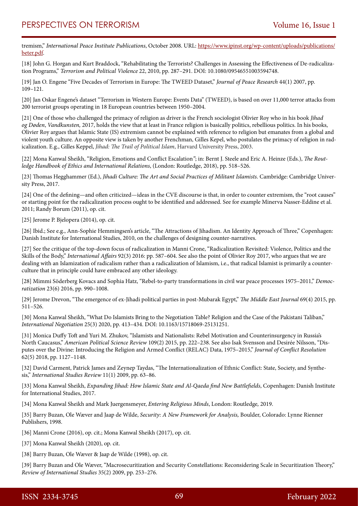tremism," *International Peace Institute Publications*, October 2008. URL: [https://www.ipinst.org/wp-content/uploads/publications/](https://www.ipinst.org/wp-content/uploads/publications/beter.pdf) [beter.pdf.](https://www.ipinst.org/wp-content/uploads/publications/beter.pdf)

[18] John G. Horgan and Kurt Braddock, "Rehabilitating the Terrorists? Challenges in Assessing the Effectiveness of De-radicalization Programs," *Terrorism and Political Violence* 22, 2010, pp. 287–291. DOI: 10.1080/09546551003594748.

[19] Jan O. Engene "Five Decades of Terrorism in Europe: The TWEED Dataset," *Journal of Peace Research* 44(1) 2007, pp. 109–121.

[20] Jan Oskar Engene's dataset "Terrorism in Western Europe: Events Data" (TWEED), is based on over 11,000 terror attacks from 200 terrorist groups operating in 18 European countries between 1950–2004.

[21] One of those who challenged the primacy of religion as driver is the French sociologist Olivier Roy who in his book *Jihad og Døden*, *Vandkunsten,* 2017, holds the view that at least in France religion is basically politics, rebellious politics. In his books, Olivier Roy argues that Islamic State (IS) extremism cannot be explained with reference to religion but emanates from a global and violent youth culture. An opposite view is taken by another Frenchman, Gilles Kepel, who postulates the primacy of religion in radicalization. E.g., Gilles Keppel, *Jihad: The Trail of Political Islam*, Harvard University Press, 2003.

[22] Mona Kanwal Sheikh, "Religion, Emotions and Conflict Escalation*"*; in: Bernt J. Steele and Eric A. Heinze (Eds.), *The Routledge Handbook of Ethics and International Relations*, (London: Routledge, 2018), pp. 518–526.

[23] Thomas Hegghammer (Ed.), *Jihadi Culture: The Art and Social Practices of Militant Islamists.* Cambridge: Cambridge University Press, 2017.

[24] One of the defining—and often criticized—ideas in the CVE discourse is that, in order to counter extremism, the "root causes" or starting point for the radicalization process ought to be identified and addressed. See for example Minerva Nasser-Eddine et al. 2011; Randy Borum (2011), op. cit.

[25] Jerome P. Bjelopera (2014), op. cit.

[26] Ibid.; See e.g., Ann-Sophie Hemmingsen's article, "The Attractions of Jihadism. An Identity Approach of Three," Copenhagen: Danish Institute for International Studies, 2010, on the challenges of designing counter-narratives.

[27] See the critique of the top-down focus of radicalization in Manni Crone, "Radicalization Revisited: Violence, Politics and the Skills of the Body," *International Affairs* 92(3) 2016: pp. 587–604. See also the point of Olivier Roy 2017, who argues that we are dealing with an Islamization of radicalism rather than a radicalization of Islamism, i.e., that radical Islamist is primarily a counterculture that in principle could have embraced any other ideology.

[28] Mimmi Söderberg Kovacs and Sophia Hatz, "Rebel-to-party transformations in civil war peace processes 1975–2011," *Democratization* 23(6) 2016, pp. 990–1008.

[29] Jerome Drevon, "The emergence of ex-Jihadi political parties in post-Mubarak Egypt," *The Middle East Journal* 69(4) 2015, pp. 511–526.

[30] Mona Kanwal Sheikh, "What Do Islamists Bring to the Negotiation Table? Religion and the Case of the Pakistani Taliban," *International Negotiation* 25(3) 2020, pp. 413–434. DOI: 10.1163/15718069-25131251.

[31] Monica Duffy Toft and Yuri M. Zhukov, "Islamists and Nationalists: Rebel Motivation and Counterinsurgency in Russia's North Caucasus," *American Political Science Review* 109(2) 2015, pp. 222–238. See also Isak Svensson and Desirée Nilsson, "Disputes over the Divine: Introducing the Religion and Armed Conflict (RELAC) Data, 1975–2015," *Journal of Conflict Resolution* 62(5) 2018, pp. 1127–1148.

[32] David Carment, Patrick James and Zeynep Taydas, "The Internationalization of Ethnic Conflict: State, Society, and Synthesis," *International Studies Review* 11(1) 2009, pp. 63–86.

[33] Mona Kanwal Sheikh, *Expanding Jihad: How Islamic State and Al-Qaeda find New Battlefields*, Copenhagen: Danish Institute for International Studies, 2017.

[34] Mona Kanwal Sheikh and Mark Juergensmeyer, *Entering Religious Minds*, London: Routledge*,* 2019.

[35] Barry Buzan, Ole Wæver and Jaap de Wilde, *Security: A New Framework for Analysis,* Boulder, Colorado: Lynne Rienner Publishers, 1998.

[36] Manni Crone (2016), op. cit.; Mona Kanwal Sheikh (2017), op. cit.

[37] Mona Kanwal Sheikh (2020), op. cit.

[38] Barry Buzan, Ole Wæver & Jaap de Wilde (1998), op. cit.

[39] Barry Buzan and Ole Wæver, "Macrosecuritization and Security Constellations: Reconsidering Scale in Securitization Theory," *Review of International Studies* 35(2) 2009, pp. 253–276.